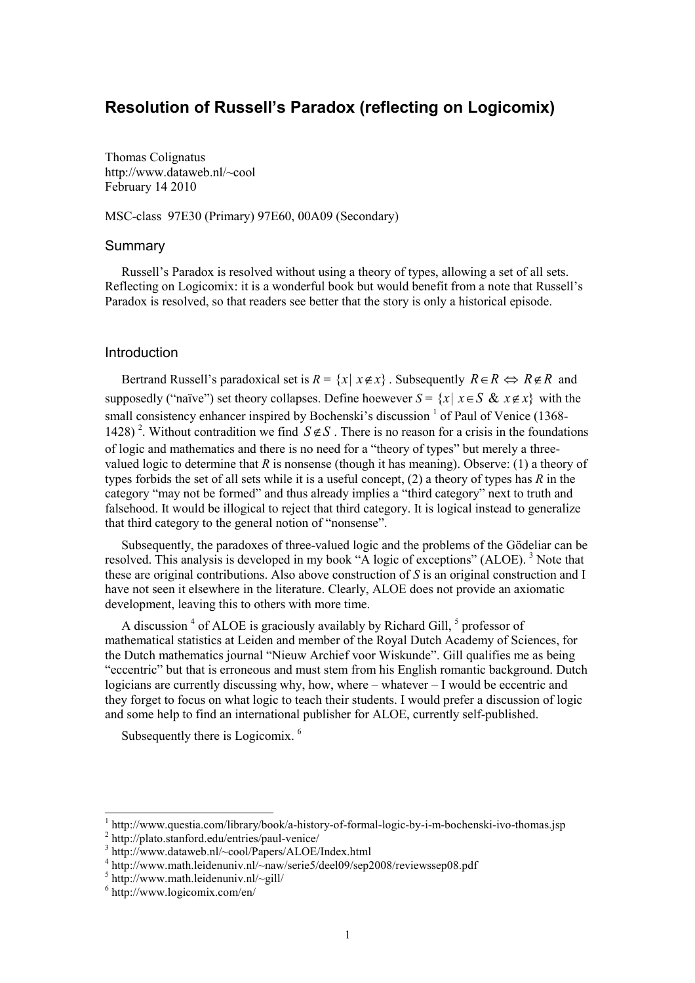# Resolution of Russell's Paradox (reflecting on Logicomix)

Thomas Colignatus http://www.dataweb.nl/~cool February 14 2010

MSC-class 97E30 (Primary) 97E60, 00A09 (Secondary)

#### Summary

Russell's Paradox is resolved without using a theory of types, allowing a set of all sets. Reflecting on Logicomix: it is a wonderful book but would benefit from a note that Russell's Paradox is resolved, so that readers see better that the story is only a historical episode.

### Introduction

Bertrand Russell's paradoxical set is  $R = \{x \mid x \notin x\}$ . Subsequently  $R \in R \Leftrightarrow R \notin R$  and supposedly ("naïve") set theory collapses. Define hoewever  $S = \{x \mid x \in S \& x \notin x\}$  with the small consistency enhancer inspired by Bochenski's discussion <sup>1</sup> of Paul of Venice (1368-1428)<sup>2</sup>. Without contradition we find  $S \notin S$ . There is no reason for a crisis in the foundations of logic and mathematics and there is no need for a "theory of types" but merely a threevalued logic to determine that  $R$  is nonsense (though it has meaning). Observe: (1) a theory of types forbids the set of all sets while it is a useful concept,  $(2)$  a theory of types has R in the category "may not be formed" and thus already implies a "third category" next to truth and falsehood. It would be illogical to reject that third category. It is logical instead to generalize that third category to the general notion of "nonsense".

Subsequently, the paradoxes of three-valued logic and the problems of the Gödeliar can be resolved. This analysis is developed in my book "A logic of exceptions" (ALOE). <sup>3</sup> Note that these are original contributions. Also above construction of S is an original construction and I have not seen it elsewhere in the literature. Clearly, ALOE does not provide an axiomatic development, leaving this to others with more time.

A discussion<sup>4</sup> of ALOE is graciously availably by Richard Gill, <sup>5</sup> professor of mathematical statistics at Leiden and member of the Royal Dutch Academy of Sciences, for the Dutch mathematics journal "Nieuw Archief voor Wiskunde". Gill qualifies me as being "eccentric" but that is erroneous and must stem from his English romantic background. Dutch logicians are currently discussing why, how, where – whatever – I would be eccentric and they forget to focus on what logic to teach their students. I would prefer a discussion of logic and some help to find an international publisher for ALOE, currently self-published.

Subsequently there is Logicomix.<sup>6</sup>

 1 http://www.questia.com/library/book/a-history-of-formal-logic-by-i-m-bochenski-ivo-thomas.jsp

<sup>2</sup> http://plato.stanford.edu/entries/paul-venice/

<sup>3</sup> http://www.dataweb.nl/~cool/Papers/ALOE/Index.html

<sup>&</sup>lt;sup>4</sup> http://www.math.leidenuniv.nl/~naw/serie5/deel09/sep2008/reviewssep08.pdf

 $5$  http://www.math.leidenuniv.nl/~gill/

<sup>6</sup> http://www.logicomix.com/en/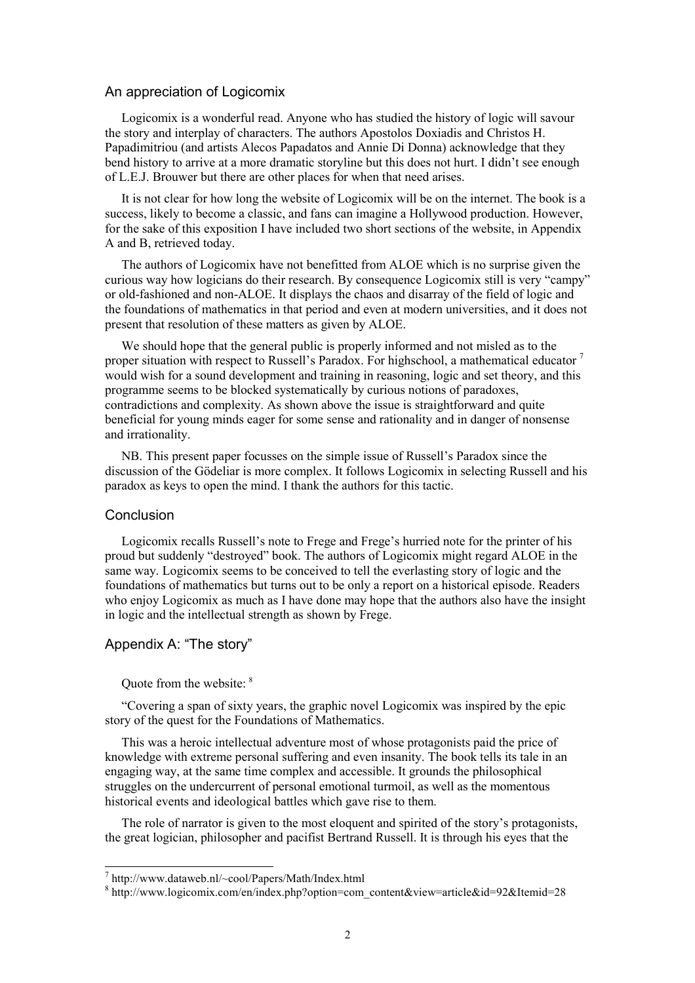#### An appreciation of Logicomix

Logicomix is a wonderful read. Anyone who has studied the history of logic will savour the story and interplay of characters. The authors Apostolos Doxiadis and Christos H. Papadimitriou (and artists Alecos Papadatos and Annie Di Donna) acknowledge that they bend history to arrive at a more dramatic storyline but this does not hurt. I didn't see enough of L.E.J. Brouwer but there are other places for when that need arises.

It is not clear for how long the website of Logicomix will be on the internet. The book is a success, likely to become a classic, and fans can imagine a Hollywood production. However, for the sake of this exposition I have included two short sections of the website, in Appendix A and B, retrieved today.

The authors of Logicomix have not benefitted from ALOE which is no surprise given the curious way how logicians do their research. By consequence Logicomix still is very "campy" or old-fashioned and non-ALOE. It displays the chaos and disarray of the field of logic and the foundations of mathematics in that period and even at modern universities, and it does not present that resolution of these matters as given by ALOE.

We should hope that the general public is properly informed and not misled as to the proper situation with respect to Russell's Paradox. For highschool, a mathematical educator  $\gamma$ would wish for a sound development and training in reasoning, logic and set theory, and this programme seems to be blocked systematically by curious notions of paradoxes, contradictions and complexity. As shown above the issue is straightforward and quite beneficial for young minds eager for some sense and rationality and in danger of nonsense and irrationality.

NB. This present paper focusses on the simple issue of Russell's Paradox since the discussion of the Gödeliar is more complex. It follows Logicomix in selecting Russell and his paradox as keys to open the mind. I thank the authors for this tactic.

#### **Conclusion**

Logicomix recalls Russell's note to Frege and Frege's hurried note for the printer of his proud but suddenly "destroyed" book. The authors of Logicomix might regard ALOE in the same way. Logicomix seems to be conceived to tell the everlasting story of logic and the foundations of mathematics but turns out to be only a report on a historical episode. Readers who enjoy Logicomix as much as I have done may hope that the authors also have the insight in logic and the intellectual strength as shown by Frege.

## Appendix A: "The story"

#### Quote from the website: <sup>8</sup>

"Covering a span of sixty years, the graphic novel Logicomix was inspired by the epic story of the quest for the Foundations of Mathematics.

This was a heroic intellectual adventure most of whose protagonists paid the price of knowledge with extreme personal suffering and even insanity. The book tells its tale in an engaging way, at the same time complex and accessible. It grounds the philosophical struggles on the undercurrent of personal emotional turmoil, as well as the momentous historical events and ideological battles which gave rise to them.

The role of narrator is given to the most eloquent and spirited of the story's protagonists, the great logician, philosopher and pacifist Bertrand Russell. It is through his eyes that the

 7 http://www.dataweb.nl/~cool/Papers/Math/Index.html

<sup>8</sup> http://www.logicomix.com/en/index.php?option=com\_content&view=article&id=92&Itemid=28